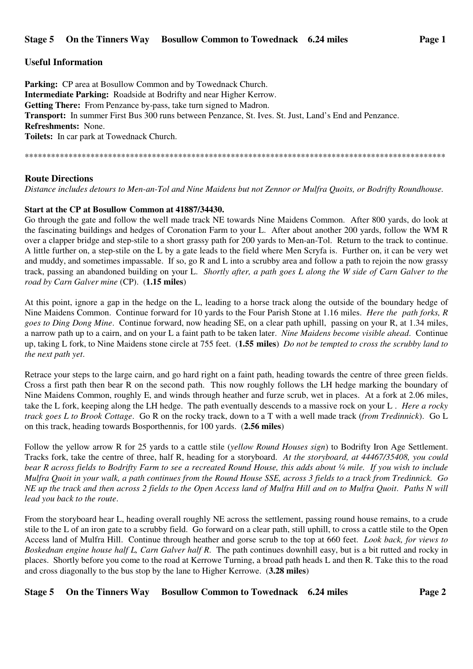## **Useful Information**

**Parking:** CP area at Bosullow Common and by Towednack Church. **Intermediate Parking:** Roadside at Bodrifty and near Higher Kerrow. **Getting There:** From Penzance by-pass, take turn signed to Madron. **Transport:** In summer First Bus 300 runs between Penzance, St. Ives. St. Just, Land's End and Penzance. **Refreshments:** None. **Toilets:** In car park at Towednack Church.

\*\*\*\*\*\*\*\*\*\*\*\*\*\*\*\*\*\*\*\*\*\*\*\*\*\*\*\*\*\*\*\*\*\*\*\*\*\*\*\*\*\*\*\*\*\*\*\*\*\*\*\*\*\*\*\*\*\*\*\*\*\*\*\*\*\*\*\*\*\*\*\*\*\*\*\*\*\*\*\*\*\*\*\*\*\*\*\*\*\*\*\*\*\*\*\*

## **Route Directions**

*Distance includes detours to Men-an-Tol and Nine Maidens but not Zennor or Mulfra Quoits, or Bodrifty Roundhouse.* 

## **Start at the CP at Bosullow Common at 41887/34430.**

Go through the gate and follow the well made track NE towards Nine Maidens Common. After 800 yards, do look at the fascinating buildings and hedges of Coronation Farm to your L. After about another 200 yards, follow the WM R over a clapper bridge and step-stile to a short grassy path for 200 yards to Men-an-Tol. Return to the track to continue. A little further on, a step-stile on the L by a gate leads to the field where Men Scryfa is. Further on, it can be very wet and muddy, and sometimes impassable. If so, go R and L into a scrubby area and follow a path to rejoin the now grassy track, passing an abandoned building on your L. *Shortly after, a path goes L along the W side of Carn Galver to the road by Carn Galver mine* (CP). (**1.15 miles**)

At this point, ignore a gap in the hedge on the L, leading to a horse track along the outside of the boundary hedge of Nine Maidens Common. Continue forward for 10 yards to the Four Parish Stone at 1.16 miles. *Here the path forks, R goes to Ding Dong Mine*. Continue forward, now heading SE, on a clear path uphill, passing on your R, at 1.34 miles, a narrow path up to a cairn, and on your L a faint path to be taken later. *Nine Maidens become visible ahead*. Continue up, taking L fork, to Nine Maidens stone circle at 755 feet. (**1.55 miles**) *Do not be tempted to cross the scrubby land to the next path yet*.

Retrace your steps to the large cairn, and go hard right on a faint path, heading towards the centre of three green fields. Cross a first path then bear R on the second path. This now roughly follows the LH hedge marking the boundary of Nine Maidens Common, roughly E, and winds through heather and furze scrub, wet in places. At a fork at 2.06 miles, take the L fork, keeping along the LH hedge. The path eventually descends to a massive rock on your L . *Here a rocky track goes L to Brook Cottage*. Go R on the rocky track, down to a T with a well made track (*from Tredinnick*). Go L on this track, heading towards Bosporthennis, for 100 yards. (**2.56 miles**)

Follow the yellow arrow R for 25 yards to a cattle stile (*yellow Round Houses sign*) to Bodrifty Iron Age Settlement. Tracks fork, take the centre of three, half R, heading for a storyboard. *At the storyboard, at 44467/35408, you could bear R across fields to Bodrifty Farm to see a recreated Round House, this adds about ¼ mile. If you wish to include Mulfra Quoit in your walk, a path continues from the Round House SSE, across 3 fields to a track from Tredinnick. Go NE up the track and then across 2 fields to the Open Access land of Mulfra Hill and on to Mulfra Quoit*. *Paths N will lead you back to the route*.

From the storyboard hear L, heading overall roughly NE across the settlement, passing round house remains, to a crude stile to the L of an iron gate to a scrubby field. Go forward on a clear path, still uphill, to cross a cattle stile to the Open Access land of Mulfra Hill. Continue through heather and gorse scrub to the top at 660 feet. *Look back, for views to Boskednan engine house half L, Carn Galver half R*. The path continues downhill easy, but is a bit rutted and rocky in places. Shortly before you come to the road at Kerrowe Turning, a broad path heads L and then R. Take this to the road and cross diagonally to the bus stop by the lane to Higher Kerrowe. (**3.28 miles**)

**Stage 5 On the Tinners Way Bosullow Common to Towednack 6.24 miles Page 2**